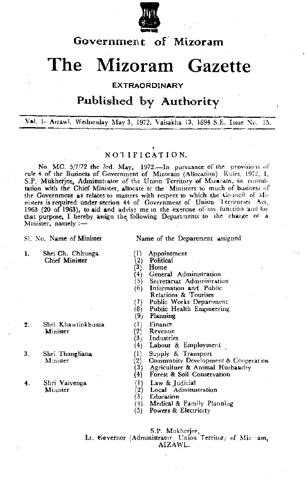

## Government of Mizoram

# The Mizoram Gazette

#### EXTRAORDINARY

### Published by Authority

Vol. l~ Aizawl, Wednesday May 3, 1972. Vaisakha 13, 1894 S.E. Issue No, 15.

#### NOTI FI CAT ION.

No. MC.  $5/7/72$  the 3rd. May, 1972.—In pursuance of the provisions of rule 4 of the Business of Government of Mizoram (Allocation) Rules, 1972, 1, S.P. Mukherjee, Administrator of the Union Territory of Mizoram, in consultation with the Chief Minister, allocate tc the Ministers '50 much of business of the Government as relates to matters with respect to which the Council of Mimisters is required under section 44 of Government of Union Territories Act, 1963 ,(20 of 1963), to aid and advise me <sup>10</sup> the exercise of my function and for that purpose, I hereby assign the following Departments to the charge of a Minister, namely : $-$ 

1.

Sl. No. Name of Minister Name of the Department assigned

Shri Ch. Chhunga Chief Minister

- 2. Shri Khawtinkhuma Minister
- 3, Shri Thangliana Minister

4. Shri Vaivenga Minister

- (I) (2) Appointment Political
- (3) Home
- (4) General Administration
- (5) Secretariat Administration
- (6) Information and Public
- Relations & Tourism
- (7) Public Works Department
- $(8)$ Public Health Engineering
- (9) Planning
- $(1)$ Finance
- (2) Revenue
- (3) Industries
- (4) Labour & Employment
- (1) Supply & Transport
- $(2)$ Community Development & Cooperation
- (3) Agriculture & Animal Husbandry
- (4) Forest & Soil Conservation
- $(1)$ Law  $&$  Judicial
- $(2)$ Local Administration
- (3) Education
- (4) Medical & Family Planning
- (5) Powers & Electricity

S.P, Mukherjee, Lt. Governor (Administrator; Union Territory of Mizoram, AIZAWL.